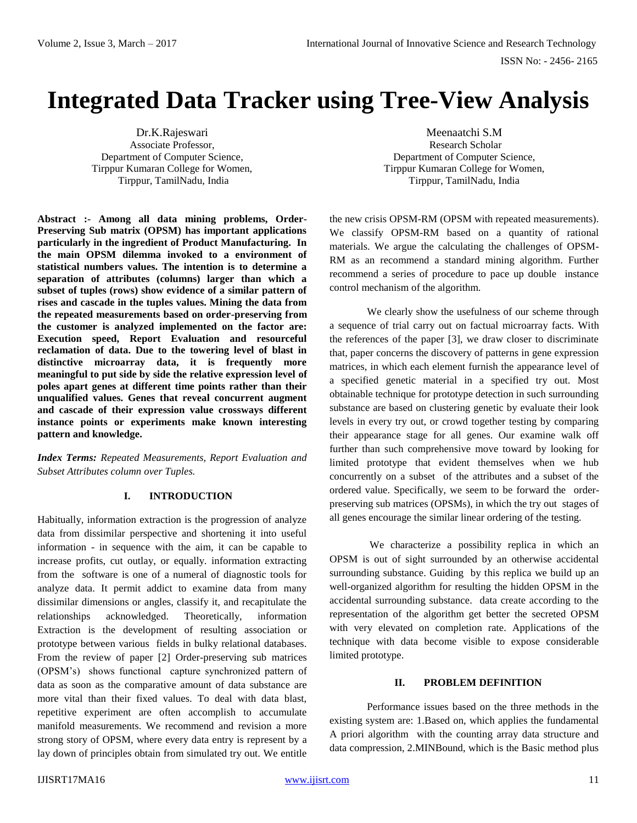# **Integrated Data Tracker using Tree-View Analysis**

Dr.K.Rajeswari Associate Professor, Department of Computer Science, Tirppur Kumaran College for Women, Tirppur, TamilNadu, India

**Abstract :- Among all data mining problems, Order-Preserving Sub matrix (OPSM) has important applications particularly in the ingredient of Product Manufacturing. In the main OPSM dilemma invoked to a environment of statistical numbers values. The intention is to determine a separation of attributes (columns) larger than which a subset of tuples (rows) show evidence of a similar pattern of rises and cascade in the tuples values. Mining the data from the repeated measurements based on order-preserving from the customer is analyzed implemented on the factor are: Execution speed, Report Evaluation and resourceful reclamation of data. Due to the towering level of blast in distinctive microarray data, it is frequently more meaningful to put side by side the relative expression level of poles apart genes at different time points rather than their unqualified values. Genes that reveal concurrent augment and cascade of their expression value crossways different instance points or experiments make known interesting pattern and knowledge.**

*Index Terms: Repeated Measurements, Report Evaluation and Subset Attributes column over Tuples.* 

## **I. INTRODUCTION**

Habitually, information extraction is the progression of analyze data from dissimilar perspective and shortening it into useful information - in sequence with the aim, it can be capable to increase profits, cut outlay, or equally. information extracting from the software is one of a numeral of diagnostic tools for analyze data. It permit addict to examine data from many dissimilar dimensions or angles, classify it, and recapitulate the relationships acknowledged. Theoretically, information Extraction is the development of resulting association or prototype between various fields in bulky relational databases. From the review of paper [2] Order-preserving sub matrices (OPSM's) shows functional capture synchronized pattern of data as soon as the comparative amount of data substance are more vital than their fixed values. To deal with data blast, repetitive experiment are often accomplish to accumulate manifold measurements. We recommend and revision a more strong story of OPSM, where every data entry is represent by a lay down of principles obtain from simulated try out. We entitle

Meenaatchi S.M Research Scholar Department of Computer Science, Tirppur Kumaran College for Women, Tirppur, TamilNadu, India

the new crisis OPSM-RM (OPSM with repeated measurements). We classify OPSM-RM based on a quantity of rational materials. We argue the calculating the challenges of OPSM-RM as an recommend a standard mining algorithm. Further recommend a series of procedure to pace up double instance control mechanism of the algorithm.

We clearly show the usefulness of our scheme through a sequence of trial carry out on factual microarray facts. With the references of the paper [3], we draw closer to discriminate that, paper concerns the discovery of patterns in gene expression matrices, in which each element furnish the appearance level of a specified genetic material in a specified try out. Most obtainable technique for prototype detection in such surrounding substance are based on clustering genetic by evaluate their look levels in every try out, or crowd together testing by comparing their appearance stage for all genes. Our examine walk off further than such comprehensive move toward by looking for limited prototype that evident themselves when we hub concurrently on a subset of the attributes and a subset of the ordered value. Specifically, we seem to be forward the orderpreserving sub matrices (OPSMs), in which the try out stages of all genes encourage the similar linear ordering of the testing.

We characterize a possibility replica in which an OPSM is out of sight surrounded by an otherwise accidental surrounding substance. Guiding by this replica we build up an well-organized algorithm for resulting the hidden OPSM in the accidental surrounding substance. data create according to the representation of the algorithm get better the secreted OPSM with very elevated on completion rate. Applications of the technique with data become visible to expose considerable limited prototype.

#### **II. PROBLEM DEFINITION**

Performance issues based on the three methods in the existing system are: 1.Based on, which applies the fundamental A priori algorithm with the counting array data structure and data compression, 2.MINBound, which is the Basic method plus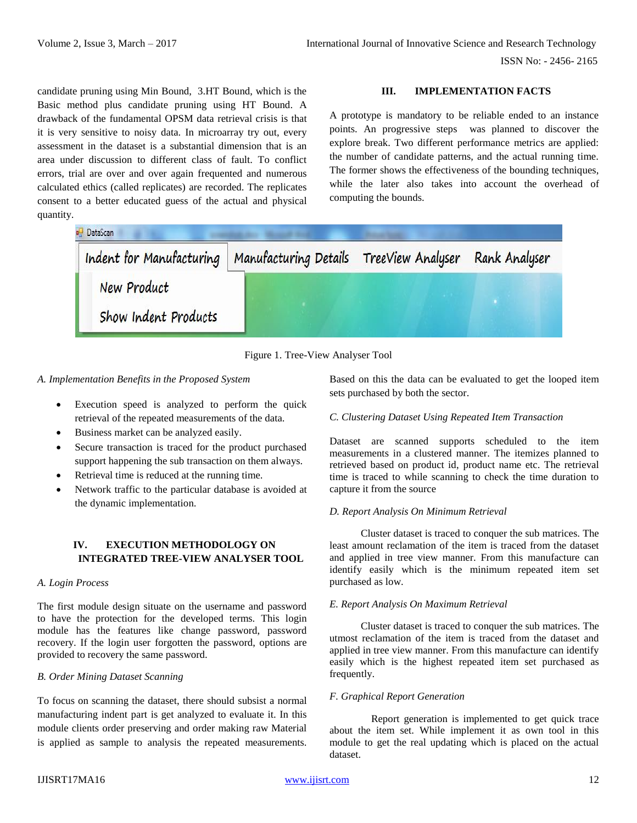candidate pruning using Min Bound, 3.HT Bound, which is the Basic method plus candidate pruning using HT Bound. A drawback of the fundamental OPSM data retrieval crisis is that it is very sensitive to noisy data. In microarray try out, every assessment in the dataset is a substantial dimension that is an area under discussion to different class of fault. To conflict errors, trial are over and over again frequented and numerous calculated ethics (called replicates) are recorded. The replicates consent to a better educated guess of the actual and physical quantity.

## **III. IMPLEMENTATION FACTS**

A prototype is mandatory to be reliable ended to an instance points. An progressive steps was planned to discover the explore break. Two different performance metrics are applied: the number of candidate patterns, and the actual running time. The former shows the effectiveness of the bounding techniques, while the later also takes into account the overhead of computing the bounds.

| DataScan<br>Indent for Manufacturing       | Manufacturing Details | TreeView Analyser | Rank Analyser |
|--------------------------------------------|-----------------------|-------------------|---------------|
| <b>New Product</b><br>Show Indent Products |                       |                   |               |



## *A. Implementation Benefits in the Proposed System*

- Execution speed is analyzed to perform the quick retrieval of the repeated measurements of the data.
- Business market can be analyzed easily.
- Secure transaction is traced for the product purchased support happening the sub transaction on them always.
- Retrieval time is reduced at the running time.
- Network traffic to the particular database is avoided at the dynamic implementation.

## **IV. EXECUTION METHODOLOGY ON INTEGRATED TREE-VIEW ANALYSER TOOL**

## *A. Login Process*

The first module design situate on the username and password to have the protection for the developed terms. This login module has the features like change password, password recovery. If the login user forgotten the password, options are provided to recovery the same password.

#### *B. Order Mining Dataset Scanning*

To focus on scanning the dataset, there should subsist a normal manufacturing indent part is get analyzed to evaluate it. In this module clients order preserving and order making raw Material is applied as sample to analysis the repeated measurements.

Based on this the data can be evaluated to get the looped item sets purchased by both the sector.

## *C. Clustering Dataset Using Repeated Item Transaction*

Dataset are scanned supports scheduled to the item measurements in a clustered manner. The itemizes planned to retrieved based on product id, product name etc. The retrieval time is traced to while scanning to check the time duration to capture it from the source

#### *D. Report Analysis On Minimum Retrieval*

 Cluster dataset is traced to conquer the sub matrices. The least amount reclamation of the item is traced from the dataset and applied in tree view manner. From this manufacture can identify easily which is the minimum repeated item set purchased as low.

#### *E. Report Analysis On Maximum Retrieval*

 Cluster dataset is traced to conquer the sub matrices. The utmost reclamation of the item is traced from the dataset and applied in tree view manner. From this manufacture can identify easily which is the highest repeated item set purchased as frequently.

#### *F. Graphical Report Generation*

 Report generation is implemented to get quick trace about the item set. While implement it as own tool in this module to get the real updating which is placed on the actual dataset.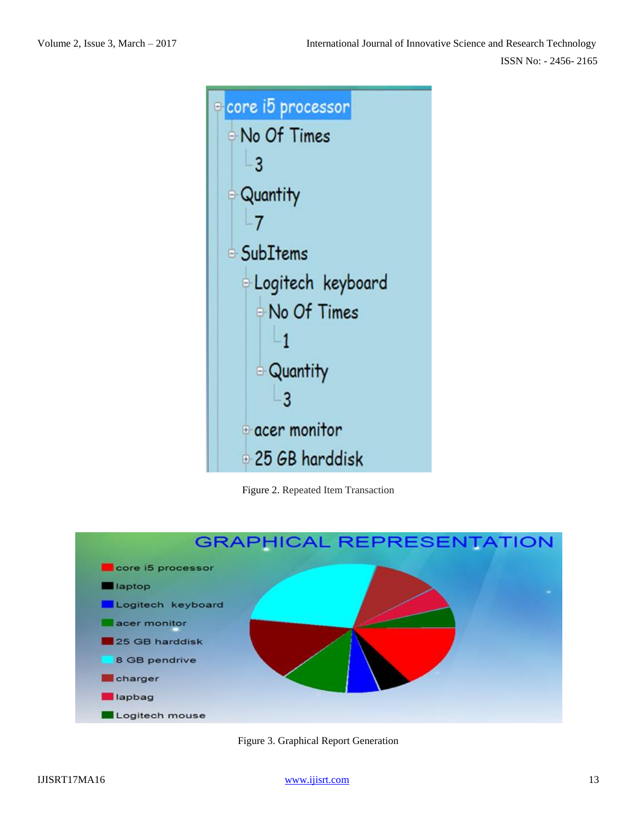

Figure 2. Repeated Item Transaction



Figure 3. Graphical Report Generation